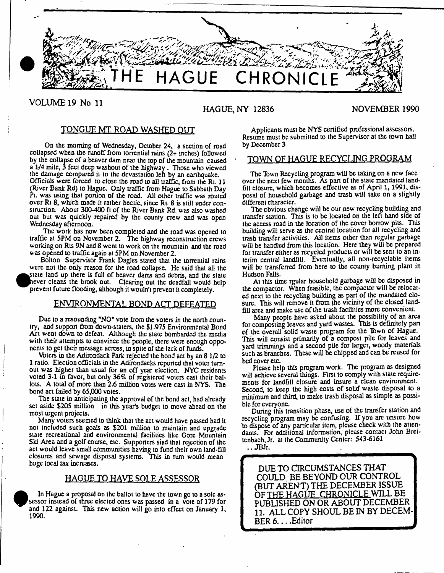

VOLUME 19 No 11

# HAGUE, NY 12836 NOVEMBER 1990

# TONGUE MT. ROAD WASHED OUT

On ihe morning of Wednesday, October 24, a section of road collapsed wben tbe runoff from torrential rains (2+ inches) followed by the collapse of a beaver dam near the top of the mountain caused a 1/4 mile, 3 feet deep washout of the highway . Those who viewed the damage compared it to the devastation left by an earthquake.

Officials were forced to close the road to all traffic, from the Rt. 11 (River Bank Rd) to Hague. Only traffic from Hague to Sabbath Day Pt. was using that portion of the road. All other traffic was routed over Rt 8, which made it rather hectic, since Rt. 8 is still under construction. About 300-400 ft of the River Bank Rd. was also washed out but w'as quickly repaired by the county crew and was open Wednesday afternoon.

The work has now been completed and the road was opened to traffic at 5PM on November 2. The highway reconstruction crews working on Rts 9N and 8 went to work on the mountain and the road was opened to traffic again at 5PM on November 2.

Bolton Supervisor Frank Dagles stated that the torrential rains were not the only reason for the road collapse. He said that all the **•** state land up there is full of beaver dams and debris, and the state hever cleans the brook out. Clearing out the deadfall would help prevent future flooding, although it wouln't prevent it completely.

# ENVIRONMENTAL BOND ACT DEFEATED

Due to a resounding "NO" vote from the voters in the north country, and support from down-staters, the \$1,975 Environmental Bond Act went down to defeat. Although the state bombarded the media with their attempts to convince the people, there were enough opponents to get their message across, in spite of the lack of funds.

Voters in the Adirondack Park rejected the bond act by an 81/2 to 1 rauo. Election officials in the Adirondack reported that voter turnout was higher than usual for an off year election. NYC residents voted 3-1 in favor, but only 36% of registered voters cast their ballots. A total of more than 2.6 million votes were cast in NYS. The bond act failed by 65,000 voles.

The state in anticipating the approval of the bond act, had already set aside \$205 million in this year's budget to move ahead on the most urgent projects.

Many voters seemed to think that the act would have passed had it not included such goals as \$201 million to maintain and upgrade state recreational and environmental facilities like Gore Mountain Ski Area and a golf course, etc. Supporters siad that rejection of the act would leave small communities having to fund their own land-fil) closures and sewage disposal systems. This in turn would mean huge local lax increases.

# HAGUE TO HAVE SOLE ASSESSOR

 $\bullet$  ses and  $\bullet$  and  $\bullet$  19 In Hague a proposal on the ballot to have the town go to a sole assessor instead of three elected ones was passed in a vote of 179 for and 122 against. This new action will go into effect on January 1, 1990.

Applicants must be NYS certified professional assessors. Resume must be submitted to the Supervisor at the town hall by December 3

### TOWN OF HAGUE RECYCLING PROGRAM

The Town Recycling program will be taking on a new face over the next few months. As part of the state mandated landfill closure, which becomes effective as of April 1,1991, disposal of household garbage and trash will take on a slightly different character.

Tbe obvious change will be our new recycling building and transfer station. This is to be located on the left hand side of the access road in the location of the cover borrow pits. This building will serve as the central location for all recycling and trash transfer activities. All items other than regular garbage will be handled from this location. Here they will be prepared for transfer either as recycled products or will be sent to an interim central landfill. Eventually, all non-recyclable items will be transferred from here to ihe county burning plant in Hudson Falls.

At this time rgular household garbage will be disposed in the compactor. When feasible, the compactor will be relocated next to the recycling building as part of the mandated closure. This will remove it from the vicinity of the closed landfill area and make use of the trash facilities more convenient.

Many people have asked about the possibility of an area for composting leaves and yard wastes. This is definitely pan of the overall solid waste program for the Tbwn of Hague, This will consist primarily of a compost pile for leaves and yard trimmings and a second pile for larger, woody materials such as branches. These will be chipped and can be reused for bed cover etc.

Please help this program work. The program as designed will achieve several things. First to comply with state requirements for landfill closure and insure a clean environment. Second, to keep the high costs of solid waste disposal to a minimum and third, to make trash disposal as simple as possible for everyone.

During this transition phase, use of the transfer station and recycling program may be confusing. If you are unsure how 'to dispose of any particular item, please check with the attendants. For additional information, please contact John Breitenbach, Jr. at the Community Center: 543-6161

.. JBJr.

DUE TO CIRCUMSTANCES THAT COULD BE BEYOND OUR CONTROL (BUT AREN'T) THE DECEMBER ISSUE OF THE HAGUE CHRONICLE WILL BE PUBLISHED ON OR ABOUT DECEMBER 11. ALL COPY SHOUL BE IN BY DECEM-BER 6 ... .Editor *I*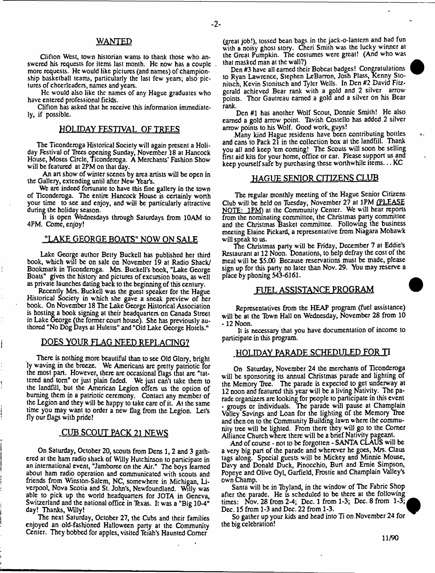# WANTED

Clifton West, town historian wants to thank those who answered his requests for items last month. He now has a couple more requests. He would like pictures (and names) of championship basketball teams, particularly the last few years; also pictures of cheerleaders, names and years.

He would also like the names of any Hague graduates who have entered professional fields.

Clifton has asked that he receive this information immediately, if possible.

#### HOLIDAY FESTIVAL OF TREES

The Ticonderoga Historical Society will again present a Holiday Festival of Thees opening Sunday, November 18 at Hancock House, Moses Circle, Ticonderoga. A Merchants' Fashion Show will be featured at 2PM on that day.

An art show of winter scenes by area artists will be open in the Gallery, extending until after New Year's.

We are indeed fortunate to have this fine gallery in the town of Ticonderoga. The entire Hancock House is certainly worth your time to see and enjoy, and will be particularly attractive during the holiday season.

It is open Wednesdays through Saturdays from 10AM to 4PM. Come, enjoy!

# "LAKE GEORGE BOATS" NOW ON SALE

Lake George author Betty Buckell has published her third book, which will be on sale on November 19 at Radio Shack/ Bookmark in Ticonderoga. Mrs. Buckell's book, "Lake George Boats" gives the history' and pictures of excursion boats, as well as private launches dating back to the beginning of this century.

Recently Mrs. Buckell was the guest speaker for the Hague Historical Society in which she gave a sneak preview of her book. On November 18 The Lake George Historical Association is hosting a book signing at their headquarters on Canada Street in Lake George (the former court house). She has previously authored "No Dog Days at Huletts" and "Old Lake George Hotels."

### DOES YOUR FLAG NEED REPLACING?

There is nothing more beautiful than to see Old Glory, bright ly waving in the breeze. We Americans are pretty patriotic for the most part. However, there are occasional flags that are "tattered and tom" or just plain faded. We just can't take them to the landfill, but the American Legion offers us the option of burning them in a patriotic ceremony. Contact any member of the Legion and they will be happy to take care of it. At the same time you may want to order a new flag from the Legion. Let's fly our flags with pride!

# CUB SCOUT PACK 21 NEWS

On Saturday, October 20, scouts from Dens 1,2 and 3 gathered at the ham radio shack of Willy Hutchinson to participate in an international event, "Jamboree on the Air." The boys learned about ham radio operation and communicated with scouts and friends from Winston-Salem, NC, somewhere in Michigan, Liverpool, Nova Scotia and St. John's, Newfoundland. Willy was able to pick up the world headquarters for JOTA in Geneva, Switzerland and the national office in Texas. It was a "Big 10-4" day! Thanks, Willy!

The next Salurday, October 27, the Cubs and their families enjoyed an old-fashioned Halloween party at the Community Center. They bobbed for apples, visited Teiah's Haunted Comer

(great job!), tossed bean bags in the jack-o-lantern and had fun with a noisy ghost story. Cheri Smith was the lucky winner at the Great Pumpkin. The costumes were great! (And who was that masked man at the wall?)

Den #3 have all earned their Bobcat badges! Congratulations to Ryan Lawrence, Stephen LeBanon, Josh Plass, Kenny Slonitsch, Kevin Sionitsch and Tyler Wells. In Den #2 David Fitzgerald achieved Bear rank with a gold and 2 silver arrow points. Thor Gautreau earned a gold and a silver on his Bear rank.

Den #1 has another Wolf Scout, Donnie Smith! He also earned a gold arrow point. Thvish Costello has added 2 silver arrow points to his Wolf. Good work, guys!

.Many kind Hague residents have been contributing bottles and cans to Pack  $2\bar{1}$  in the collection box at the landfill. Thank you all and keep 'em coming! The Scouts will soon be selling first aid kits for your home, office or car. Please support us and keep yourself safe by purchasing these worthwhile items... $KC$ 

### HAGUE SENIOR CITIZENS CLUB

Tbe regular monthly meeting of the Hague Senior Citizens Club will be held on Tuesday, November 27 at 1PM (PLEASE NOTE: 1PM) at the Community Center. We will hear reports from the nominating committee, the Christmas party committee and the Christmas Basket committee. Following the business meeting Elaine Pickard, a representative from Niagara Mohawk will speak to us.

Tne Christmas party will be Friday, December 7 at Eddie's Restaurant at 12 Noon. Donations, to help defray the cost of the meal will be \$5.00 Because reservations must be made, please sign up for this party no later than Nov. 29. You may reserve a place by phoning 543-6161.

# FUEL ASSISTANCE PROGRAM

Representatives from the HEAP program (fuel assistance) will be at the Town Hall on Wednesday, November 28 from 10 -12 Noon.

It is necessary that you have documentation of income to participate in this program.

# <u>HOLIDAY PARADE SCHEDULED FOR T</u>I

On Saturday, November 24 the merchants of Ticonderoga will be sponsoring its annual Christmas parade and lighting of the Memory Tree. The parade is expected to get underway at 12 noon and featured this year will be a living Nativity, The parade organizes are looking for people to participate in this event - groups or individuals. The parade will pause at Champlain Valley Savings and Loan for the lighting of the Memory Thee and then on to the Community Building lawn where the community tree will be lighted. From there they will go to the Comer Alliance Church where there will be a brief Nativity pageant.

And of course - not to be forgotten - SANTA CLAUS will be a very big part of the parade and wherever he goes, Mrs. Claus tags along. Special guests will be Mickey and Minnie Mouse, Davy and Donald Duck, Pinocchio, Burl and Ernie Simpson, Popeye and Olive Oyl, Garfield, Frostie and Champlain Valley's own Champ.

Santa will be in Tbyland, in the window of The Fabric Shop after the parade. He is scheduled to be there at the following times: Nov. 28 from 2-4; Dec. 1 from 1-3; Dec. 8 from 1-3; Dec. 15 from 1-3 and Dec. 22 from 1-3.

So gather up your kids and head into Ti on November 24 for the big celebration!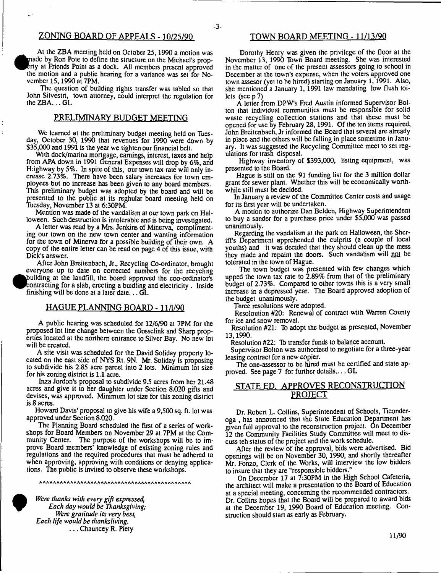# ZONING BOARD OF APPEALS - 10/25/90 TOWN BOARD MEETING - 11/13/90

At the ZBA meeting held on October 25,1990 a motion was made by Ron Pote to define the structure on the Michael's proprty at Friends Point as a dock. All members present approved the motion and a public hearing for a variance was set for November 15,1990 at 7PM.

The question of building rights transfer was tabled so that John Silvestri, town attorney, could interpret the regulation for the ZBA ... GL

# PRELIMINARY BUDGET MEETING

We learned at the preliminary budget meeting held on Tuesday, October 30, 1990 that revenues for 1990 were down by \$35,000 and 1991 is the year we tighten our financial belt.

With dock/marina mortgage, earnings, interest, taxes and help from APA down in 1991 General Expenses will drop by 6%, and Highway by  $5\%$ . In spite of this, our town tax rate will only increase 2.73%. There have been salary increases for town employees but no increase has been given to any board members. This preliminary budget was adopted by the board and will be presented to the public at its reghular board meeting held on Tuesday, November 13 at 6:30PM.

Mention was made of the vandalism at our town park on Halloween. Such destruction is intolerable and is being investigated.

A letter was read by a Mrs. Jenkins of Minerva, complimenting our town on the new town center and wanting information for the town of Minerva for a possible building of their own. A copy of the entire letter can be read on page 4 of this issue, with Dick's answer.

After John Breitenbach, Jr., Recycling Co-ordinator, brought everyone up to date on corrected numbers for the recycling building at the landfill, the board approved the coo-ordinator's contracting for a slab, erecting a buidling and electricity . Inside finishing will be done at a later date... GL

# HAGUE PLANNING BOARD -11 /1/90

A public hearing was scheduled for 12/6/90 at 7PM for the proposed lot line change between the Gosselink and Sharp properties located at the northern entrance to Silver Bay. No new lot will be created.

A site visit was scheduled for the David Soliday property located on the east side of NYS Rt. 9N. Mr. Soliday is proposing to subdivide his 2.85 acre parcel into 2 lots. Minimum lot size for his zoning district is 1.1 acre.

Inza Jordon's proposal to subdivide 9.5 acres from her 21.48 acres and give it to her daughter under Section 8.020 gifts and devises, was approved. Minimum lot size for this zoning district is 8 acres.

Howard Davis' proposal to give his wife a 9,500 sq. ft. lot was approved under Section 8.020.

The Planning Board scheduled the first of a series of workshops for Board Members on November 29 at 7PM at the Community Center. The purpose of the workshops will be to improve Board members' knowledge of existing zoning rules and regulations and the required procedures that must be adhered to when approving, approving with conditions or denying applications. The public is invited to observe these workshops.

*Were thanks with every gift expressed, Each day would be Thanksgiving; Were gratitude its very best, Each life would be thanksliving.* . . . Chauncey R. Piety

Dorothy Henry was given the privilege of the floor at the November 13, 1990 Town Board meeting. She was interested in the matter of one of the present assessors going to school in December at the town's expense, when the voters approved one town assesor (yel to be hired) starting on January 1,1991. Also, she mentioned a January 1, 1991 law mandating low flush toilets (see  $p$  7)

A letter from DPW's Fred Austin informed Supervisor Bolton that individual communities must be responsible for solid waste recycling collection stations and that these must be opened for use by February 28,1991. Of the ten items required, John Breitenbach, Jr informed the Board that several are already in place and the others will be falling in place sometime in January. It was suggested the Recycling Committee meet to set regulations for trash disposal.

Highway inventory of \$393,000, listing equipment, was presented to the Board.

Hague is still on the '91 funding list for the 3 million dollar grant for sewer plant. Whether this will be economically worthwhile still must be decided.

In January a review of the Committee Center costs and usage for its first year will be undertaken.

A motion to authorize Dan Belden, Highway Superintendent to buy a sander for a purchase price under \$5,000 was passed unanimously.

Regarding the vandalism at the park on Halloween, the Sheriffs Department apprehended the culprits (a couple of local youths) and it was decided that they should clean up the mess they made and repaint the doors. Such vandalism will not be tolerated in the town of Hague.

The town budget was presented with few changes which upped the town tax rate to 2.89% from that of the preliminary budget of 2.73%. Compared to other towns this is a very small increase in a depressed year. The Board approved adoption of the budget unanimously.

Three resolutions were adopted.

Resoloution #20: Renewal of contract with Warren County for ice and snow removal.

Resolution #21: To adopt the budget as presented, November 13,1990.

Resolution #22: To transfer funds to balance account.

Supervisor Bolton was authorized to negotiate for a three-year leasing contract for a new copier.

The one-assessor to be hired must be certified and state approved. See page 7 for further details.... GL

# STATE ED. APPROVES RECONSTRUCTION PROJECT

Dr. Robert L. Collins, Superintendent of Schools, Ticonderoga , has announced that the State Education Department has given full approval to the reconstruction project. On December 12 the Community Facilities Study Committee will meet to discuss teh status of the project and the work schedule.

After the review of the approval, bids were advertised. Bid openings will be on November 30, 1990, and shortly thereafter Mr. Fonzo, Clerk of the Works, will interview the low bidders to insure that they are "responsible bidders."

On December 17 at 7:30PM in the High School Cafeteria, the architect will make a presentation to the Board of Education at a special meeting, concerning the recommended contractors. Dr. Collins hopes that the Board will be prepared to award bids at the December 19, 1990 Board of Education meeting. Construction should start as early as February.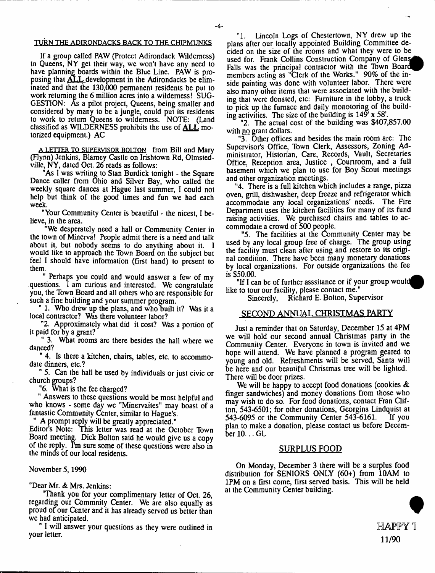#### TURN THE ADIRONDACKS BACK TO THE CHIPMUNKS

If a group called PAW (Protect Adirondack Wilderness) in Queens, NY get their way, we won't have any need to have planning boards within the Blue Line. PAW is proposing that **ALL** development in the Adirondacks be eliminated and that the 130,000 permanent residents be put to work returning the 6 million acres into a wilderness! SUG-GESTION: As a pilot project, Queens, being smaller and considered by many to be a jungle, could put its residents to work to return Queens to wilderness. NOTE: (Land classified as WILDERNESS prohibits the use of ALL motorized equipment.) AC

A LETTER TO SUPERVISOR BOLTON from Bill and Mary (Flynn) Jenkins, Blarney Castle on Irishtown Rd, Olmstedville, NY, dated Oct. 26 reads as follows:

"As I was writing to Stan Burdick tonight - the Square Dance caller from Ohio and Silver Bay, who called the weekly square dances at Hague last summer, I could not help but think of the good times and fun we had each week.

"Your Community Center is beautiful - the nicest, I believe, in the area.

"We desperately need a hall or Community Center in the town of Minerva! People admit there is a need and talk about it, but nobody seems to do anything about it. I would like to approach the Town Board on the subject but feel I should have information (first hand) to present to them.

" Perhaps you could and would answer a few of my questions. I am curious and interested. We congratulate you, the Town Board and all others who are responsible for such a fine building and your summer program.

" 1. Who drew up the plans, and who built it? Was it a local contractor? Was there volunteer labor?

"2. Approximately what did it cost? Was a portion of it paid for by a grant?

" 3. What rooms are there besides the hall where we danced?

" 4. Is there a kitchen, chairs, tables, etc. to accommodate dinners, etc.?

" 5. Can the hall be used by individuals or just civic or church groups?

"6. What is the fee charged?

" Answers to these questions would be most helpful and who knows - some day we "Minervaites" may boast of a fantastic Community Center, similar to Hague's.

A prompt reply will be greatly appreciated."

Editor's Note: This letter was read at the October Town Board meeting. Dick Bolton said he would give us a copy of the reply. I'm sure some of these questions were also in the minds of our local residents.

#### November 5,1990

"Dear Mr. & Mrs. Jenkins:

"Thank you for your complimentary letter of Oct. 26, regarding our Commnity Center. We are also equally as proud of our Center and it has already served us better than we had anticipated.

" I will answer your questions as they were outlined in your letter.

"1. Lincoln Logs of Chestertown, NY drew up the plans after our locally appointed Building Committee decided on the size of the rooms and what they were to be used for. Frank Collins Construction Company of Glens Falls was the principal contractor with the Town Board members acting as "Clerk of the Works." 90% of the inside painting was done with volunteer labor. There were also many other items that were associated with the building that were donated, etc: Furniture in the lobby, a truck to pick up the furnace and daily monotoring of the building activities. The size of the building is  $149'$  x 58'.

"2. The actual cost of the building was \$407,857.00 with no grant dollars.

"3. Other offices and besides the main room are: The Supervisor's Office, Town Clerk, Assessors, Zoning Administrator, Historian, Care, Records, Vault, Secretaries Office, Reception area, Justice , Courtroom, and a full basement which we plan to use for Boy Scout meetings and other organization meetings.

"4. There is a full kitchen which includes a range, pizza oven, grill, dishwasher, deep freeze and refrigerator which accommodate any local organizations' needs. The Fire Department uses the kitchen facilities for many of its fund raising activities. We purchased chairs and tables to accommodate a crowd of 500 people.

"5. The facilities at the Community Center may be used by any local group free of charge. The group using the facility must clean after using and restore to its original condition. There have been many monetary donations by local organizations. For outside organizations the fee  $is$  \$50.00.

"If I can be of further asssitance or if your group would like to tour our facility, please contact me."

Sincerely, Richard E. Bolton, Supervisor

### SECOND ANNUAL CHRISTMAS PARTY

Just a reminder that on Saturday, December 15 at 4PM we will hold our second annual Christmas party in the Community Center. Everyone in town is invited and we hope will attend. We have planned a program geared to young and old. Refreshments will be served, Santa will be here and our beautiful Christmas tree will be lighted. There will be door prizes.

We will be happy to accept food donations (cookies & finger sandwiches) and money donations from those who may wish to do so. For food donations, contact Fran Clifton, 543-6501; for other donations, Georgina Lindquist at 543-6095 or the Community Center 543-6161. If you plan to make a donation, please contact us before December 10... GL

#### SURPLUS FOOD

On Monday, December 3 there will be a surplus food distribution for SENIORS ONLY (60+) from 10AM to 1PM on a first come, first served basis. This will be held at the Community Center building.

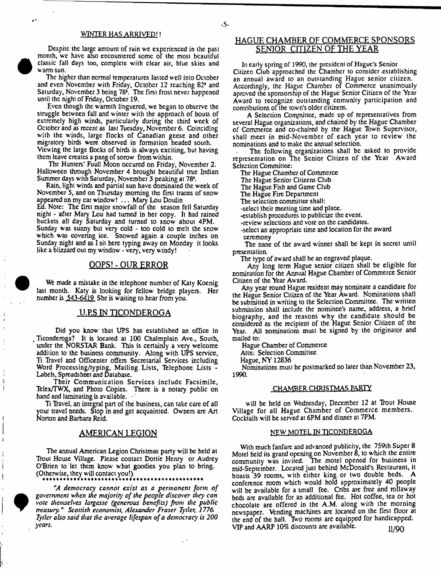#### MNTER HAS ARRIVED!!

Despile ihe large amount of rain we experienced in the past month, we have also encountered some of the most beautiful classic fall days too, complete with clear air, blue skies and warm sun.

The higher than normal temperatures lasted well into October and even November with Friday, October 12 reaching 82\* and Saturday, November 3 being 78\*. The first frost never happened until the night of Friday, October 19.

Even though the warmth linguered, we began to observe the struggle between fall and winter with the approach of bouts of extremely high winds, particularly during the third week of October and as recent as last Tuesday, November 6. Coinciding with the winds, large flocks of Canadian geese and other migratory birds were observed in formation headed south. Viewing the large Docks of birds is always exciting, but having them leave creates a pang of sorow from within.

The Hunters' Fuull Moon occured on Friday, November 2. Halloween through November 4 brought beautiful true Indian Summer days with Saturday, November 3 peaking at 78\*.

Rain, light winds and partial sun have dominated the week of November 5, and on Thursday morning the first traces of snow appeared on my car window! . . . Mary Lou Doulin Ed. Note: The first major snowfall of the season fell Saturday night - after Mary Lou had turned in her copy. It had rained buckets all day Saturday and turned to snow about 4PM. Sunday was sunny but very cold - too cold to melt the snow which was covering ice. Snowed again a couple inches on Sunday night and as I sit here typing away on Monday it looks like a blizzard out my window - very, very windy!

# OOPS! - OUR ERROR

We made a mistake in the telephone number of Katy Koenig last month. Katy is looking for fellow' bridge players. Her number is 543-6419 She is waiting to hear from you.

#### <u>U.P.S IN TICONDEROGA</u>

Did you know that UPS has established an office in , Ticonderoga? It is located at 100 Chalmplain Ave., South, under the NORSTAR Bank. This is certainly a very welcome addition to the business community. Along with UPS service, Tt Travel and Officenter offers Secretarial Services including Word Processing/typing, Mailing Lists, Telephone Lists - Labels, Spreadsheet and Database.

Their Communication Services include Facsimile, Telex/TWX, and Photo Copies. There is a notary public on hand and laminating is available.

Ti Havel, an integral part of the business, can take care of all your travel needs. Slop in and gel acquainted. Owners are Art Norton and Barbara Reid.

#### AMERICAN LEGION

The annual American Legion Christmas party will be held at Trout House Village. Please contact Dottie Henry or Audrey O'Brien to let them know' what goodies you plan to bring. (Otherwise, they will contact you!)



 $\mathfrak{I}$ J

> "A democracy cannot exist as a permanent form of government when the majority of the people discover they can *vote themselves largesse (generous benefits) from the public treasury." Scottish economist, Alexander Fraser Tytler, 1776. Tytler also said that the average lifespan of a democracy is 200 years.*

# HAGUE CHAMBER OF COMMERCE SPONSORS SENIOR CITIZEN OF THE YEAR

In early spring of 1990, the president of Hague's Senior Citizen Club approached the Chamber to consider establishing an annual award to an outstanding Hague senior citizen. Accordingly, the Hague Chamber of Commerce unanimously aproved the sponsorship of the Hague Senior Citizen of the Year Award to recognize outstanding comunity participation and contributions of the town's older citizens.

A Selection Computtee, made up of representatives from several Hague organizations, and chaired by the Hague Chamber of Commerce and co-chaired by the Hague Town Supervisor, shall meet in mid-November of each year to review the nominations and to make the annual selection.

The following organizations shall be asked to provide representation on The Senior Citizen of the Year Award Selection Committee:

The Hague Chamber of Commerce

The Hague Senior Citizens Club

Tbe Hague Fish and Game Club

The Hague Fire Department

The selection committee shall:

-select their meeting time and place.

-establish procedures to publicize the event.

-review selections and vote on the candidates.

-select an appropriate time and location for the award ceremony

The nane of the award winner shall be kept in secret until presentation.

The type of award shall be an engraved plaque.

Any long term Hague senior citizen shall be eligible for nomination for the Annual Hague Chamber of Commerce Senior Citizen of the Year Award.

Any year round Hague resident may nominate a candidate for the Hague Senior Citizen of the Year Award. Nominations shall be submitted in writing to the Selection Committee. The written submission shall include the nominee's name, address, a brief biography, and the reasons why the candidate should be considered as the recipient of the Hague Senior Citizen of the Year. All nominations must be signed by the originator and mailed to:

Hague Chamber of Commerce

Attn: Selection Committee

Hague, NY 12836

Nominations must be postmarked no later than November 23, 1990.

# CHAMBER CHRISTMAS PARTY

will be held on Wednesday, December 12 at Trout House Village for all Hague Chamber of Commerce members. Cocktails will be served at 6PM and dinner at 7PM.

#### NEW MOTEL IN TICONDEROGA

With much fanfare and advanced publicity, the 759th Super 8 Motel held its grand opening on November 8, to w'hich the entire community was invited. The motel opened for business in mid-September. Located just behind McDonald's Restaurant, it boasts 39 rooms, with either king or two double beds. A conference room which would hold approximately 40 people will be available for a small fee. Cribs are free and rollaway beds are available for an additional fee. Hot coffee, tea or hot chocolate are offered in the A.M. along with the morning newspaper. Vending machines are locaied on the first floor at the end of the hall. Two rooms are equipped for handicapped. VIP and AARP 10% discounts are available.  $11/90$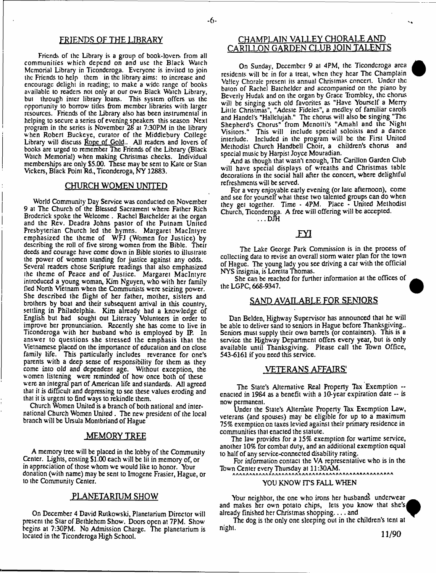#### FRIENDS OF THE LIBRARY

Friends of the Library is a group of book-lovers from all communities which depend on and use the Black Watch Memorial Library in Ticonderoga. Everyone is invited to join the Friends to help them in the library' aims: to increase and encourage delight in reading; to make a wide range of books available to readers not only at our own Black Watch Library, but through inter library loans. This system offers us the opportunity to borrow titles from member libraries with larger resources. Friends of the Library also has been instrumental in helping to secure a series of evening speakers this season Next program in the series is November 28 at 7:30PM in the library when Robert Buckeye, curaior of the Middlebury College Library will discuss Rope of Gold.. All readers and lovers of books are urged to remember The Friends of the Library (Black Watch Memorial) when making Christmas checks. Individual memberships are only \$5.00. These may be sent to Kate or Stan Vickers, Black Point Rd., Ticonderoga, NY 12883.

#### CHURCH WOMEN UNITED

World Community Day Service was conducted on November 9 at The Church of the Blessed Sacrament where Father Rich Broderick spoke the Welcome . Rachel Batchelder at the organ and the Rev. Deadra Johns pastor of the Putnam United Presbyterian Church led the hymns. Margaret MacIntyre emphasized the theme of WFJ (Women for Justice) by describing the roll of five strong women from the Bible. Their deeds and courage have come down in Bible stories to illustrate the power of women standing for justice against any odds. Several readers chose Scripture readings that also emphasized the theme of Peace and of Justice. Margaret MacIntyre introduced a young woman, Kim Nguyen, who with her family fled North Vietnam when the Communists were seizing power. She described tbe flight of her father, mother, sisters and brothers by boat and their subsequent arrival in this country, settling in Philadelphia, Kim already had a knowledge of English but had sought out Literacy Volunteers in order to improve her pronunciation. Recently she has come to live in Ticonderoga with her husband who is employed by IP. In answer to questions she stressed the emphasis that the Vietnamese placed on the importance of education and on close family life. This particularly includes reverance for one's parents with a deep sense of responsibility for them as they come into old and dependent age. Without exception, the women listening were reminded of how once both of these were an integral part of American life and standards. All agreed that it is difficult and depressing to see these values eroding and that it is urgent to find ways to rekindle them.

Church Women United is a branch of both national and international Church Women United . Tbe new president of the local branch will be Ursula Montbriand of Hague

#### **MEMORY TREE**

A memory tree will be placed in the lobby of the Community Center. Lights, costing \$1.00 each will be lit in memory of, or in appreciation of those whom we would like to honor. Your donation (with name) may be sent to Imogene Frasier, Hague, or to the Community Center.

#### PLANETARIUM SHOW

On December 4 David Rutkowski, Planetarium Director will present the Star of Bethlehem Show. Doors open at 7PM. Show begins at 7:30PM. No Admission Charge. The planetarium is located in the Ticonderoga High School.

# CHAMPLAIN VALLEY CHORALE AND CARILLON GARDEN CLUB JOIN TALENTS

On Sunday, December 9 at 4PM, the Ticonderoga area residents will be in for a treat, when they hear The Champlain Valley Chorale present its annual Christmas concert. Under the baton of Rachel Batchelder and accompanied on the piano by Beverly Hudak and on the organ by Grace Trombley, the chorus will be singing such old favorites as "Have Yourself a Merry Little Christmas", "Adeste Fideles", a medley of familiar carols and Handel's "Hallelujah." The chorus will also be singing "The Shepherd's Chorus" from Menotti's "Amahl and the Night Visitors." This will include special soloists and a dance interlude. Included in the program will be the First United Methodist Church Handbell Choir, a children's chorus and special music by Harpist Joyce Mouradian.

And as though that wasn't enough, The Carillon Garden Club will have special displays of wreaths and Christmas table decorations in the social hall after the concert, where delightful refreshments will be served.

For a very enjoyable early evening (or late afternoon), come and see for yourself what these two talented groups can do when they get together. Time - 4PM. Place - United Methodist Church, Ticonderoga. A free will offering will be accepted.  $\ldots$  DJH

# FYI

The Lake George Park Commission is in the process of collecting data to revise an overall storm water plan for the town of Hague. The young lady you see driving a car with the official NYS insignia, is Loretta Thomas.

She can be reached for further information at the offices of the LGPC, 668-9347. M

# SAND AVAILABLE FOR SENIORS

Dan Belden, Highway Supervisor has announced that he will be able to deliver sand to seniors in Hague before Thanksgiving.. Seniors must supply their own barrels (or containers). This is a service the Highway Department offers every year, but is only available until Thanksgiving. Please call the Tbwn Office, 543-6161 if you need this service.

# VETERANS *AFFAIRS'*

The State's Alternative Real Property Tax Exemption - enacted in 1984 as a benefit with a  $10$ -year expiration date  $-$  is now permanent.

Under the State's Alternate Property Tax Exemption Law, veterans (and spouses) may be eligible for up to a maximum 75% exemption on taxes levied against their primary residence in communities that enacted the statute.

The law provides for a 15% exemption for wartime service, another 10% for combat duty, and an additional exemption equal to half of any service-connected disability rating.

For information contact the VA representative who is in the Town Center every Thursday at 11:30AM.

#### YOU KNOW ITS FALL WHEN

Your neighbor, the one who irons her husbands underwear and makes her own potato chips, lets you know that she's already finished her Christmas shopping.. . . and

The dog is the only one sleeping out in the children's tent at night.

11/90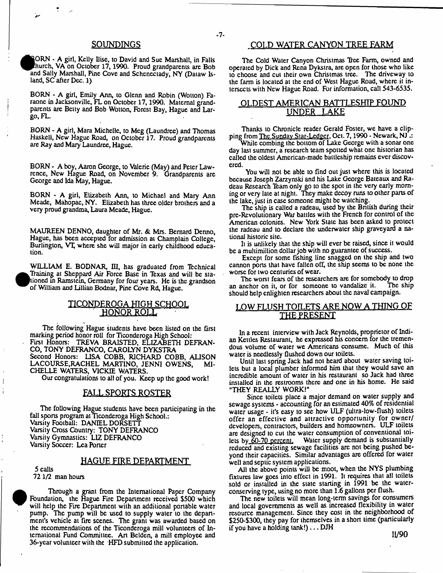#### SOUNDINGS

ORN - A girl, Kelly Ilise, to David and Sue Marshall, in Falls hurch, VA on October 17,1990. Proud grandparents are Bob and Sally Marshall, Pine Cove and Schenectady, NY (Dataw Island, SC after Dec. 1)

BORN - A girl, Emily Ann, to Glenn and Robin (Wotton) Faraone in Jacksonville, FL on October 17,1990. Maternal grandparents are Betty and Bob Wotton, Forest Bay, Hague and Largo, FL.

BORN - A girl, Mara Michelle, to Meg (Laundree) and Thomas Haskell, New Hague Road, on October 17. Proud grandparents are Ray and Mary Laundree, Hague.

BORN - A boy, Aaron George, to Valerie (May) and Peter Lawrence, New Hague Road, on November 9. Grandparents are George and Ida May, Hague.

BORN - A girl, Elizabeth Ann, to Michael and Mary Ann Meade, Mahopac, NY. Elizabeth has three older brothers and a very proud grandma, Laura Meade, Hague.

MAUREEN DENNO, daughter of Mr. & Mrs. Bernard Denno, Hague, has been accepted for admission at Champlain College, Burlington, VT where she will major in early childhood education.

WILLIAM E. BODNAR, III, has graduated from Technical Training at Sheppard Air Force Base in Texas and will be stationed in Ramstein, Germany for four years. He is the grandson of William and Lillian Bodnar, Pine Cove Rd, Hague.

# <u>TICONDEROGA HIGH SCHOOL</u> HONOR ROLL

The following Hague students have been listed on the first marking period honor roll for Ticonderoga High School: First Honors: TREVA BRAISTED, ELIZABETH DEFRAN-CO, TONY DEFRANCO, CAROLYN DYKSTRA Second Honors: LISA COBB, RICHARD COBB, AUSON LACOURSE,RACHEL MARTINO, JENNI OWENS, MI-CHELLE WATERS, VICKIE WATERS.

Our congratulations to all of you. Keep up the good work!

### FALL SPORTS ROSTER

The following Hague students have been participating in the fall sports program at Ticonderoga High School.: Varsity Football: DANIEL DORSETT Varsity Cross Country: TONY DEFRANCO Varsity Gymnastics: LIZ DEFRANCO Varsity Soccer: Lea Porter

### HAGUE FIRE DEPARTMENT

5 calls 721/2 man hours



Through a grant from the International Paper Company Foundation, the Hague Fire Department received \$500 which will help the Fire Department with an additional portable water pump. The pump will be used to supply water to the department's vehicle at fire scenes. The grant was awarded based on the recommendations of the Ticonderoga mill volunteers of International Fund Committee. An Belden, a mill employee and 36-year volunteer with the HFD submitted the application.

# COLD WATER CANYON TREE FARM

The Cold Water Canyon Christmas Tree Farm, owned and operated by Dick and Rena Dykstra, are open for those who like to choose and cut their own Christmas tree. The driveway to the farm is located at the end of West Hague Road, where it intersects with New Hague Road. For information, call 543-6535.

# OLDEST AMERICAN BATTLESHIP FOUND UNDER LAKE

Thanks to Chronicle reader Gerald Foster, we have a clipping from The Sunday Star-Ledger, Oct. 7, 1990 - Newark, NJ .:

While combing the bottom of Lake George with a sonar one day last summer, a research team spotted what one historian has called the oldest American-made battleship remains ever discovered.

You will not be able to find out just where this is located because Joseph Zarzynski and his Lake George Bateaux and Radeau Research Team only go to the spot in the very early morning or very late at night. They make decoy runs to other parts of the lake, just in case someone might be watching.

The ship is called a radeau, used by the British during their pre-Revolutionary War battles with the French for control of the American colonies. New York State has been asked to protect the radeau and to declare the underwater ship graveyard a national historic site.

It is unlikely that the ship will ever be raised, since it would be a multimillion dollar job with no guarantee of success.

Except for some fishing line snagged on the ship and two cannon pons that have fallen off, the ship seems to be none the worse for two centuries of wear.

The worst fears of the researchers are for somebody to drop an anchor on it, or for someone to vandalize it. The ship should help enlighten researchers about the naval campaign.

# LOW FLUSH TOILETS ARE NOW A THING OF THE PRESENT

In a recent interview with Jack Reynolds, proprietor of Indian Kettles Restaurant, he expressed his concern for the tremendous volume of water we Americans consume. Much of this water is needlessly flushed down our toilets.

Until last spring Jack had not heard about water saving toilets but a local plumber informed him that they would save an incredible amount of water in his restaurant so Jack had three installed in the restrooms there and one in his home. He said "THEY REALLY WORK!"

Since toilets place a major demand on water supply and sewage systems - accounting for an estimated 40% of residential water usage - it's easy to see how ULF (ultra-low-flush) toilets offer an effective and attractive opportunity for owner/ developers, contractors, builders and homeowners. ULF toilets are designed to cut the water consumption of conventional toilets by 60-70 percent. Water supply demand is substantially reduced and existing sewage facilities are not being pushed beyond their capacities. Similar advantages are offered for water well and septic system applications.

All the above points will be moot, when the NYS plumbing fixtures law goes into effect in 1991. It requires that all toilets sold or installed in the state starting in 1991 be the waterconserving type, using no more than 1.6 gallons per flush.

The new toilets will mean long-term savings for consumers and local governments as well as increased flexibility in water resource management. Since they cost in the neighborhood of \$250-\$300, they pay for themselves in a short lime (particularly if you have a holding  $lanh$ !),  $\ldots$  DJH

11/90